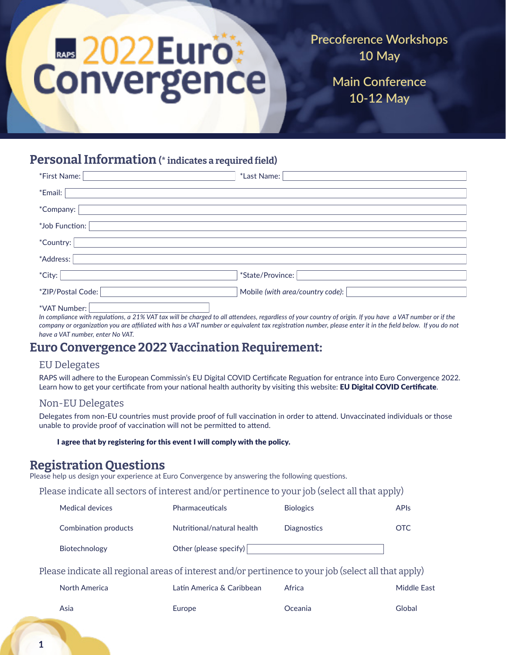# **E2022Euro:**<br>Convergence

**Precoference Workshops 10 May**

> **Main Conference 10-12 May**

# Personal Information (\* indicates a required field)

| *First Name:      | *Last Name:                      |
|-------------------|----------------------------------|
| *Email:           |                                  |
| *Company: I       |                                  |
| *Job Function:    |                                  |
| *Country:         |                                  |
| *Address:         |                                  |
| *City:            | *State/Province:                 |
| *ZIP/Postal Code: | Mobile (with area/country code): |
| *VAT Number:      |                                  |

*In compliance with regulations, a 21% VAT tax will be charged to all attendees, regardless of your country of origin. If you have a VAT number or if the company or organization you are affiliated with has a VAT number or equivalent tax registration number, please enter it in the field below. If you do not have a VAT number, enter No VAT.*

# Euro Convergence 2022 Vaccination Requirement:

#### EU Delegates

RAPS will adhere to the European Commissin's EU Digital COVID Certificate Reguation for entrance into Euro Convergence 2022. Learn how to get your certificate from your national health authority by visiting this website: **EU Digital COVID Certificate**.

#### Non-EU Delegates

Delegates from non-EU countries must provide proof of full vaccination in order to attend. Unvaccinated individuals or those unable to provide proof of vaccination will not be permitted to attend.

#### I agree that by registering for this event I will comply with the policy.

## Registration Questions

Please help us design your experience at Euro Convergence by answering the following questions.

Please indicate all sectors of interest and/or pertinence to your job (select all that apply)

| Medical devices      | <b>Pharmaceuticals</b>     | <b>Biologics</b> | API <sub>S</sub> |
|----------------------|----------------------------|------------------|------------------|
| Combination products | Nutritional/natural health | Diagnostics      | OTC.             |
| Biotechnology        | Other (please specify)     |                  |                  |

Please indicate all regional areas of interest and/or pertinence to your job (select all that apply)

| North America | Latin America & Caribbean | Africa  | <b>Middle East</b> |
|---------------|---------------------------|---------|--------------------|
| Asia          | Europe                    | Oceania | Global             |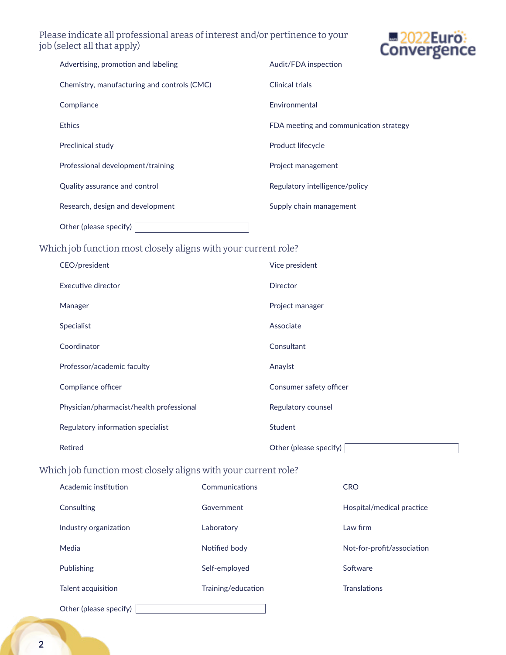## Please indicate all professional areas of interest and/or pertinence to your job (select all that apply)



| Advertising, promotion and labeling         | Audit/FDA inspection                   |
|---------------------------------------------|----------------------------------------|
| Chemistry, manufacturing and controls (CMC) | Clinical trials                        |
| Compliance                                  | Environmental                          |
| <b>Ethics</b>                               | FDA meeting and communication strategy |
| Preclinical study                           | Product lifecycle                      |
| Professional development/training           | Project management                     |
| Quality assurance and control               | Regulatory intelligence/policy         |
| Research, design and development            | Supply chain management                |
| Other (please specify)                      |                                        |

## Which job function most closely aligns with your current role?

| CEO/president                            | Vice president          |
|------------------------------------------|-------------------------|
| Executive director                       | Director                |
| Manager                                  | Project manager         |
| Specialist                               | Associate               |
| Coordinator                              | Consultant              |
| Professor/academic faculty               | Anaylst                 |
| Compliance officer                       | Consumer safety officer |
| Physician/pharmacist/health professional | Regulatory counsel      |
| Regulatory information specialist        | Student                 |
| Retired                                  | Other (please specify)  |

## Which job function most closely aligns with your current role?

| Academic institution   | Communications     | <b>CRO</b>                 |
|------------------------|--------------------|----------------------------|
| Consulting             | Government         | Hospital/medical practice  |
| Industry organization  | Laboratory         | Law firm                   |
| Media                  | Notified body      | Not-for-profit/association |
| Publishing             | Self-employed      | Software                   |
| Talent acquisition     | Training/education | <b>Translations</b>        |
| Other (please specify) |                    |                            |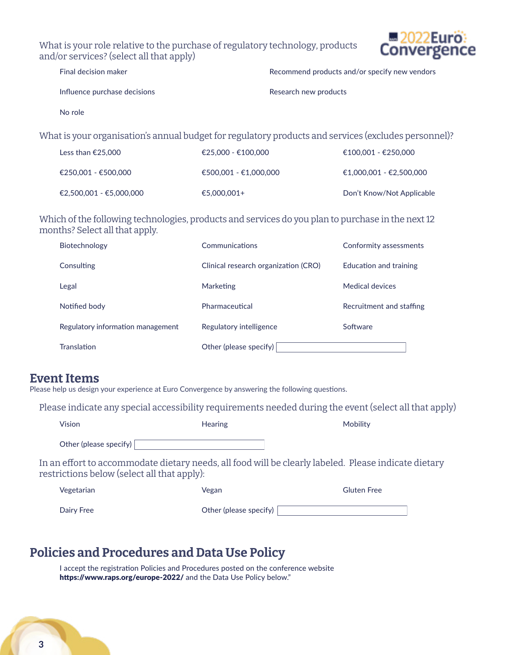What is your role relative to the purchase of regulatory technology, products and/or services? (select all that apply)



| Final decision maker         | Recommend products and/or specify new vendors |
|------------------------------|-----------------------------------------------|
| Influence purchase decisions | Research new products                         |
| No role                      |                                               |

What is your organisation's annual budget for regulatory products and services (excludes personnel)?

| Less than €25,000       | $€25.000 - €100.000$  | €100.001 - €250.000       |
|-------------------------|-----------------------|---------------------------|
| €250,001 - €500,000     | €500.001 - €1.000.000 | €1.000.001 - €2.500.000   |
| €2.500.001 - €5.000.000 | €5,000,001+           | Don't Know/Not Applicable |

Which of the following technologies, products and services do you plan to purchase in the next 12 months? Select all that apply.

| Biotechnology                     | Communications                       | Conformity assessments   |
|-----------------------------------|--------------------------------------|--------------------------|
| Consulting                        | Clinical research organization (CRO) | Education and training   |
| Legal                             | <b>Marketing</b>                     | Medical devices          |
| Notified body                     | Pharmaceutical                       | Recruitment and staffing |
| Regulatory information management | Regulatory intelligence              | Software                 |
| <b>Translation</b>                | Other (please specify)               |                          |

## Event Items

Please help us design your experience at Euro Convergence by answering the following questions.

Please indicate any special accessibility requirements needed during the event (select all that apply)

| Vision                                      | <b>Hearing</b> | Mobility                                                                                              |
|---------------------------------------------|----------------|-------------------------------------------------------------------------------------------------------|
| Other (please specify) $\vert$              |                |                                                                                                       |
| restrictions below (select all that apply): |                | In an effort to accommodate dietary needs, all food will be clearly labeled.  Please indicate dietary |
|                                             |                |                                                                                                       |

| Vegetarian | Vegan                  | <b>Gluten Free</b> |
|------------|------------------------|--------------------|
| Dairy Free | Other (please specify) |                    |

# Policies and Procedures and Data Use Policy

I accept the registration Policies and Procedures posted on the conference website https://www.raps.org/europe-2022/ and the Data Use Policy below."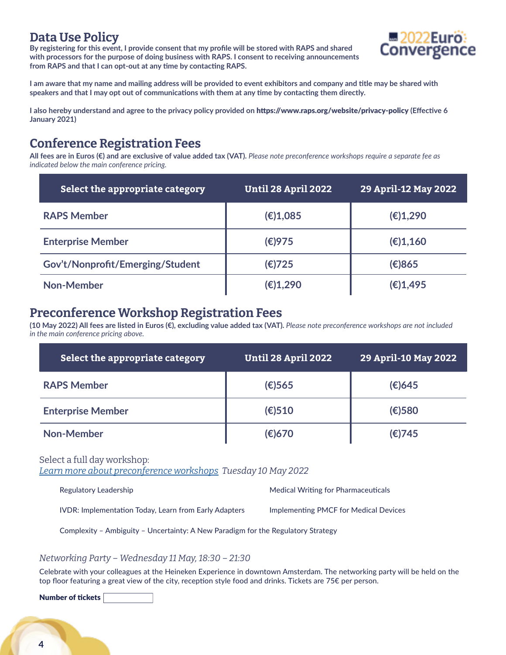## Data Use Policy

**By registering for this event, I provide consent that my profile will be stored with RAPS and shared with processors for the purpose of doing business with RAPS. I consent to receiving announcements from RAPS and that I can opt-out at any time by contacting RAPS.** 



**I am aware that my name and mailing address will be provided to event exhibitors and company and title may be shared with speakers and that I may opt out of communications with them at any time by contacting them directly.** 

**I also hereby understand and agree to the privacy policy provided on** https://www.raps.org/website/privacy-policy **(Effective 6 January 2021)** 

## Conference Registration Fees

**All fees are in Euros (€) and are exclusive of value added tax (VAT).** *Please note preconference workshops require a separate fee as indicated below the main conference pricing.*

| Select the appropriate category  | Until 28 April 2022 | 29 April-12 May 2022 |
|----------------------------------|---------------------|----------------------|
| <b>RAPS Member</b>               | (E)1,085            | (E)1,290             |
| <b>Enterprise Member</b>         | (E)975              | (E)1,160             |
| Gov't/Nonprofit/Emerging/Student | (€)725              | (E)865               |
| <b>Non-Member</b>                | (E)1,290            | (E)1,495             |

## Preconference Workshop Registration Fees

**(10 May 2022) All fees are listed in Euros (€), excluding value added tax (VAT).** *Please note preconference workshops are not included in the main conference pricing above.* 

| Select the appropriate category | <b>Until 28 April 2022</b> | 29 April-10 May 2022 |
|---------------------------------|----------------------------|----------------------|
| <b>RAPS Member</b>              | $(E)$ 565                  | $(E)$ 645            |
| <b>Enterprise Member</b>        | $(\epsilon)$ 510           | $(E)$ 580            |
| Non-Member                      | (€)670                     | (€)745               |

Select a full day workshop: *[Learn more about preconference workshops](https://www.eventscribe.net/2022/RAPSEuro2022/SearchByBucket.asp?pfp=Track&bm=Preconference+Workshop) Tuesday 10 May 2022* 

| Regulatory Leadership | Medical Writing for Pharmaceuticals |
|-----------------------|-------------------------------------|
|                       |                                     |

IVDR: Implementation Today, Learn from Early Adapters Implementing PMCF for Medical Devices

Complexity – Ambiguity – Uncertainty: A New Paradigm for the Regulatory Strategy

#### *Networking Party – Wednesday 11 May, 18:30 – 21:30*

Celebrate with your colleagues at the Heineken Experience in downtown Amsterdam. The networking party will be held on the top floor featuring a great view of the city, reception style food and drinks. Tickets are 75 $\epsilon$  per person.

Number of tickets